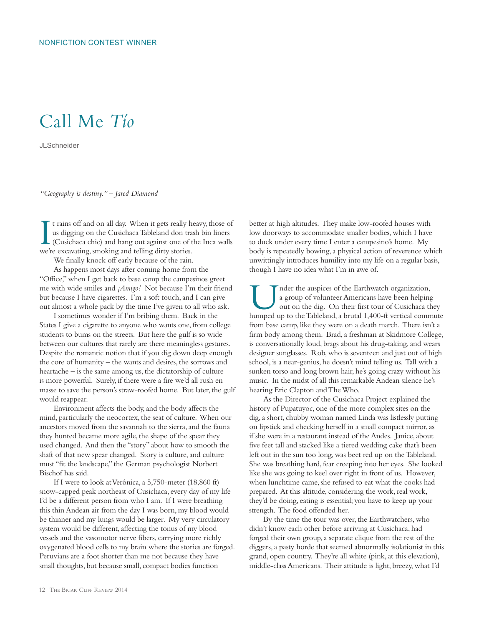## Call Me *Tío*

**JLSchneider** 

*"Geography is destiny." – Jared Diamond*

I t rains off and on all day. When it gets really h<br>us digging on the Cusichaca Tableland don tra<br>(Cusichaca chic) and hang out against one of t<br>we're excavating, smoking and telling dirty stories. t rains off and on all day. When it gets really heavy, those of us digging on the Cusichaca Tableland don trash bin liners (Cusichaca chic) and hang out against one of the Inca walls

We finally knock off early because of the rain.

As happens most days after coming home from the "Office," when I get back to base camp the campesinos greet me with wide smiles and *¡Amigo!* Not because I'm their friend but because I have cigarettes. I'm a soft touch, and I can give out almost a whole pack by the time I've given to all who ask.

I sometimes wonder if I'm bribing them. Back in the States I give a cigarette to anyone who wants one, from college students to bums on the streets. But here the gulf is so wide between our cultures that rarely are there meaningless gestures. Despite the romantic notion that if you dig down deep enough the core of humanity – the wants and desires, the sorrows and heartache – is the same among us, the dictatorship of culture is more powerful. Surely, if there were a fire we'd all rush en masse to save the person's straw-roofed home. But later, the gulf would reappear.

Environment affects the body, and the body affects the mind, particularly the neocortex, the seat of culture. When our ancestors moved from the savannah to the sierra, and the fauna they hunted became more agile, the shape of the spear they used changed. And then the "story" about how to smooth the shaft of that new spear changed. Story is culture, and culture must "fit the landscape," the German psychologist Norbert Bischof has said.

If I were to look at Verónica, a 5,750-meter (18,860 ft) snow-capped peak northeast of Cusichaca, every day of my life I'd be a different person from who I am. If I were breathing this thin Andean air from the day I was born, my blood would be thinner and my lungs would be larger. My very circulatory system would be different, affecting the tonus of my blood vessels and the vasomotor nerve fibers, carrying more richly oxygenated blood cells to my brain where the stories are forged. Peruvians are a foot shorter than me not because they have small thoughts, but because small, compact bodies function

better at high altitudes. They make low-roofed houses with low doorways to accommodate smaller bodies, which I have to duck under every time I enter a campesino's home. My body is repeatedly bowing, a physical action of reverence which unwittingly introduces humility into my life on a regular basis, though I have no idea what I'm in awe of.

I nder the auspices of the Earthwatch organization,<br>a group of volunteer Americans have been helping<br>out on the dig. On their first tour of Cusichaca the<br>hymned up to the Tableland a brutal 1.400 ft vertical comm a group of volunteer Americans have been helping out on the dig. On their first tour of Cusichaca they humped up to the Tableland, a brutal 1,400-ft vertical commute from base camp, like they were on a death march. There isn't a firm body among them. Brad, a freshman at Skidmore College, is conversationally loud, brags about his drug-taking, and wears designer sunglasses. Rob, who is seventeen and just out of high school, is a near-genius, he doesn't mind telling us. Tall with a sunken torso and long brown hair, he's going crazy without his music. In the midst of all this remarkable Andean silence he's hearing Eric Clapton and The Who.

As the Director of the Cusichaca Project explained the history of Pupatuyoc, one of the more complex sites on the dig, a short, chubby woman named Linda was listlessly putting on lipstick and checking herself in a small compact mirror, as if she were in a restaurant instead of the Andes. Janice, about five feet tall and stacked like a tiered wedding cake that's been left out in the sun too long, was beet red up on the Tableland. She was breathing hard, fear creeping into her eyes. She looked like she was going to keel over right in front of us. However, when lunchtime came, she refused to eat what the cooks had prepared. At this altitude, considering the work, real work, they'd be doing, eating is essential; you have to keep up your strength. The food offended her.

By the time the tour was over, the Earthwatchers, who didn't know each other before arriving at Cusichaca, had forged their own group, a separate clique from the rest of the diggers, a pasty horde that seemed abnormally isolationist in this grand, open country. They're all white (pink, at this elevation), middle-class Americans. Their attitude is light, breezy, what I'd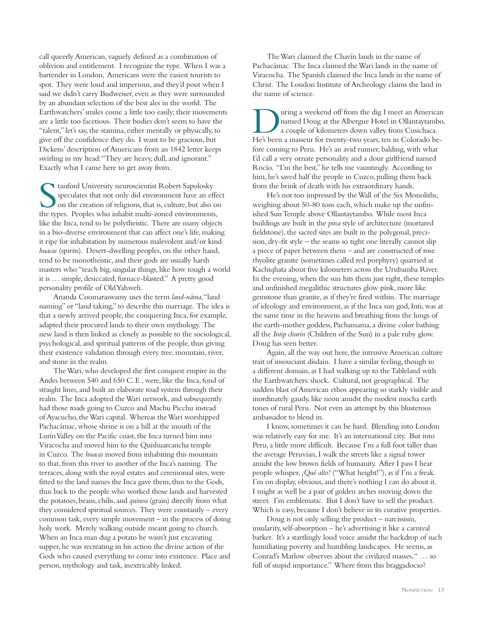call queerly American, vaguely defined as a combination of oblivion and entitlement. I recognize the type. When I was a bartender in London, Americans were the easiest tourists to spot. They were loud and imperious, and they'd pout when I said we didn't carry Budweiser, even as they were surrounded by an abundant selection of the best ales in the world. The Earthwatchers' smiles come a little too easily; their movements are a little too facetious. Their bodies don't seem to have the "talent," let's say, the stamina, either mentally or physically, to give off the confidence they do. I want to be gracious, but Dickens' description of Americans from an 1842 letter keeps swirling in my head: "They are heavy, dull, and ignorant." Exactly what I came here to get away from.

Stanford University neuroscientist Robert Sapolosky<br>speculates that not only did environment have an eff<br>on the creation of religions, that is, culture, but also<br>the types. Beoples who inhabit multi-zoned environments speculates that not only did environment have an effect on the creation of religions, that is, culture, but also on the types. Peoples who inhabit multi-zoned environments, like the Inca, tend to be polytheistic. There are many objects in a bio-diverse environment that can affect one's life, making it ripe for inhabitation by numerous malevolent and/or kind *huacas* (spirits). Desert-dwelling peoples, on the other hand, tend to be monotheistic, and their gods are usually harsh masters who "teach big, singular things, like how tough a world it is … simple, desiccated, furnace-blasted." A pretty good personality profile of Old Yahweh.

Ananda Coomaraswamy uses the term *land-náma*, "land naming" or "land taking," to describe this marriage. The idea is that a newly arrived people, the conquering Inca, for example, adapted their procured lands to their own mythology. The new land is then linked as closely as possible to the sociological, psychological, and spiritual patterns of the people, thus giving their existence validation through every tree, mountain, river, and stone in the realm.

The Wari, who developed the first conquest empire in the Andes between 540 and 650 C. E., were, like the Inca, fond of straight lines, and built an elaborate road system through their realm. The Inca adopted the Wari network, and subsequently had those roads going to Cuzco and Machu Picchu instead of Ayacucho, the Wari capital. Whereas the Wari worshipped Pachacámac, whose shrine is on a hill at the mouth of the Lurín Valley on the Pacific coast, the Inca turned him into Viracocha and moved him to the Quishuarcancha temple in Cuzco. The *huacas* moved from inhabiting this mountain to that, from this river to another of the Inca's naming. The terraces, along with the royal estates and ceremonial sites, were fitted to the land names the Inca gave them, thus to the Gods, thus back to the people who worked those lands and harvested the potatoes, beans, chilis, and *quinoa* (grain) directly from what they considered spiritual sources. They were constantly – every common task, every simple movement – in the process of doing holy work. Merely walking outside meant going to church. When an Inca man dug a potato he wasn't just excavating supper, he was recreating in his action the divine action of the Gods who caused everything to come into existence. Place and person, mythology and task, inextricably linked.

The Wari claimed the Chavín lands in the name of Pachacámac. The Inca claimed the Wari lands in the name of Viracocha. The Spanish claimed the Inca lands in the name of Christ. The London Institute of Archeology claims the land in the name of science.

I uring a weekend off from the dig I meet an American<br>
named Doug at the Albergue Hotel in Ollantaytambo,<br>
a couple of kilometers down valley from Cusichaca.<br>
He's been a masseur for twenty, two years ten in Colorado be named Doug at the Albergue Hotel in Ollantaytambo, He's been a masseur for twenty-two years, ten in Colorado before coming to Peru. He's an avid runner, balding, with what I'd call a very ornate personality and a dour girlfriend named Rocío. "I'm the best," he tells me vauntingly. According to him, he's saved half the people in Cuzco, pulling them back from the brink of death with his extraordinary hands.

He's not too impressed by the Wall of the Six Monoliths, weighing about 50-80 tons each, which make up the unfinished Sun Temple above Ollantaytambo. While most Inca buildings are built in the *pirca* style of architecture (mortared fieldstone), the sacred sites are built in the polygonal, precision, dry-fit style – the seams so tight one literally cannot slip a piece of paper between them – and are constructed of rose rhyolite granite (sometimes called red porphyry) quarried at Kachiqhata about five kilometers across the Urubamba River. In the evening, when the sun hits them just right, these temples and unfinished megalithic structures glow pink, more like gemstone than granite, as if they're fired within. The marriage of ideology and environment, as if the Inca sun god, Inti, was at the same time in the heavens and breathing from the lungs of the earth-mother goddess, Pachamama, a divine color bathing all the *Intip churin* (Children of the Sun) in a pale ruby glow. Doug has seen better.

Again, all the way out here, the intrusive American culture trait of insouciant disdain. I have a similar feeling, though in a different domain, as I had walking up to the Tableland with the Earthwatchers: shock. Cultural, not geographical. The sudden blast of American ethos appearing so starkly visible and inordinately gaudy, like neon amidst the modest mocha earth tones of rural Peru. Not even an attempt by this blusterous ambassador to blend in.

I know, sometimes it can be hard. Blending into London was relatively easy for me. It's an international city. But into Peru, a little more difficult. Because I'm a full foot taller than the average Peruvian, I walk the streets like a signal tower amidst the low brown fields of humanity. After I pass I hear people whisper, *¡Qué alto!* ("What height!"), as if I'm a freak. I'm on display, obvious, and there's nothing I can do about it. I might as well be a pair of golden arches moving down the street. I'm emblematic. But I don't have to sell the product. Which is easy, because I don't believe in its curative properties.

Doug is not only selling the product – narcissism, insularity, self-absorption – he's advertising it like a carnival barker. It's a startlingly loud voice amidst the backdrop of such humiliating poverty and humbling landscapes. He seems, as Conrad's Marlow observes about the civilized masses, " … so full of stupid importance." Where from this braggadocio?